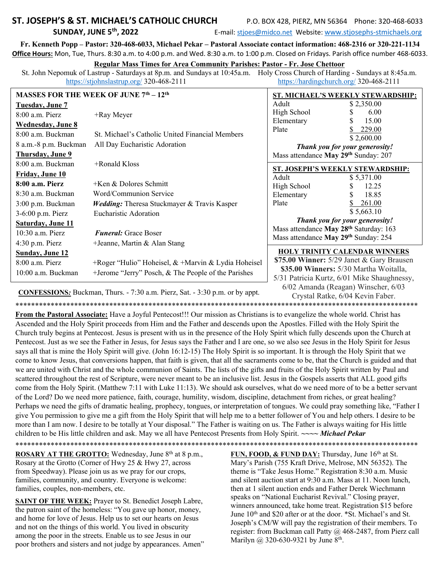# .. ST. JOSEPH'S & ST. MICHAEL'S CATHOLIC CHURCH P.O. BOX 428, PIERZ, MN 56364 Phone: 320-468-6033

SUNDAY, JUNE 5<sup>th</sup>, 2022 **E-mail:** stjoes@midco.net Website: www.stjosephs-stmichaels.org

Fr. Kenneth Popp – Pastor: 320-468-6033, Michael Pekar – Pastoral Associate contact information: 468-2316 or 320-221-1134 Office Hours: Mon, Tue, Thurs. 8:30 a.m. to 4:00 p.m. and Wed. 8:30 a.m. to 1:00 p.m. Closed on Fridays. Parish office number 468-6033.

#### Regular Mass Times for Area Community Parishes: Pastor - Fr. Jose Chettoor

St. John Nepomuk of Lastrup - Saturdays at 8p.m. and Sundays at 10:45a.m. Holy Cross Church of Harding - Sundays at 8:45a.m. https://stjohnslastrup.org/ 320-468-2111 https://hardingchurch.org/ 320-468-2111

| <b>MASSES FOR THE WEEK OF JUNE 7th - 12th</b> |                                                        | ST. MICHAEL'S WEEKLY STEWARDSHIP:                       |
|-----------------------------------------------|--------------------------------------------------------|---------------------------------------------------------|
| <b>Tuesday, June 7</b>                        |                                                        | Adult<br>\$2,350.00                                     |
| $8:00$ a.m. Pierz                             | +Ray Meyer                                             | High School<br>6.00                                     |
| <b>Wednesday</b> , June 8                     |                                                        | 15.00<br>Elementary                                     |
| 8:00 a.m. Buckman                             | St. Michael's Catholic United Financial Members        | 229.00<br>Plate<br>\$2,600.00                           |
| 8 a.m.-8 p.m. Buckman                         | All Day Eucharistic Adoration                          | Thank you for your generosity!                          |
| Thursday, June 9                              |                                                        | Mass attendance May 29 <sup>th</sup> Sunday: 207        |
| 8:00 a.m. Buckman                             | +Ronald Kloss                                          |                                                         |
| Friday, June 10                               |                                                        | ST. JOSEPH'S WEEKLY STEWARDSHIP:<br>Adult<br>\$5,371.00 |
| 8:00 a.m. Pierz                               | +Ken & Dolores Schmitt                                 | High School<br>12.25                                    |
| 8:30 a.m. Buckman                             | Word/Communion Service                                 | 18.85<br>Elementary                                     |
| 3:00 p.m. Buckman                             | <b>Wedding:</b> Theresa Stuckmayer & Travis Kasper     | Plate<br>261.00                                         |
| 3-6:00 p.m. Pierz                             | Eucharistic Adoration                                  | \$5,663.10                                              |
| Saturday, June 11                             |                                                        | Thank you for your generosity!                          |
| $10:30$ a.m. Pierz                            | <b>Funeral:</b> Grace Boser                            | Mass attendance May 28 <sup>th</sup> Saturday: 163      |
| $4:30$ p.m. Pierz                             | +Jeanne, Martin & Alan Stang                           | Mass attendance May 29th Sunday: 254                    |
| <b>Sunday, June 12</b>                        |                                                        | <b>HOLY TRINITY CALENDAR WINNERS</b>                    |
| $8:00$ a.m. Pierz                             | +Roger "Hulio" Hoheisel, & +Marvin & Lydia Hoheisel    | \$75.00 Winner: 5/29 Janet & Gary Brausen               |
| 10:00 a.m. Buckman                            | $+$ Jerome "Jerry" Posch, & The People of the Parishes | \$35.00 Winners: 5/30 Martha Woitalla,                  |
|                                               |                                                        | 5/31 Patricia Kurtz, 6/01 Mike Shaughnessy,             |
|                                               |                                                        | $6/02$ Amanda (Reagan) Winscher, $6/03$                 |

CONFESSIONS: Buckman, Thurs. - 7:30 a.m. Pierz, Sat. - 3:30 p.m. or by appt.

\*\*\*\*\*\*\*\*\*\*\*\*\*\*\*\*\*\*\*\*\*\*\*\*\*\*\*\*\*\*\*\*\*\*\*\*\*\*\*\*\*\*\*\*\*\*\*\*\*\*\*\*\*\*\*\*\*\*\*\*\*\*\*\*\*\*\*\*\*\*\*\*\*\*\*\*\*\*\*\*\*\*\*\*\*\*\*\*\*\*\*\*\*\*\*\*\*\*\*\*\*\*\*

From the Pastoral Associate: Have a Joyful Pentecost!!! Our mission as Christians is to evangelize the whole world. Christ has Ascended and the Holy Spirit proceeds from Him and the Father and descends upon the Apostles. Filled with the Holy Spirit the Church truly begins at Pentecost. Jesus is present with us in the presence of the Holy Spirit which fully descends upon the Church at Pentecost. Just as we see the Father in Jesus, for Jesus says the Father and I are one, so we also see Jesus in the Holy Spirit for Jesus says all that is mine the Holy Spirit will give. (John 16:12-15) The Holy Spirit is so important. It is through the Holy Spirit that we come to know Jesus, that conversions happen, that faith is given, that all the sacraments come to be, that the Church is guided and that we are united with Christ and the whole communion of Saints. The lists of the gifts and fruits of the Holy Spirit written by Paul and scattered throughout the rest of Scripture, were never meant to be an inclusive list. Jesus in the Gospels asserts that ALL good gifts come from the Holy Spirit. (Matthew 7:11 with Luke 11:13). We should ask ourselves, what do we need more of to be a better servant of the Lord? Do we need more patience, faith, courage, humility, wisdom, discipline, detachment from riches, or great healing? Perhaps we need the gifts of dramatic healing, prophecy, tongues, or interpretation of tongues. We could pray something like, "Father I give You permission to give me a gift from the Holy Spirit that will help me to a better follower of You and help others. I desire to be more than I am now. I desire to be totally at Your disposal." The Father is waiting on us. The Father is always waiting for His little children to be His little children and ask. May we all have Pentecost Presents from Holy Spirit. ~~~~ Michael Pekar \*\*\*\*\*\*\*\*\*\*\*\*\*\*\*\*\*\*\*\*\*\*\*\*\*\*\*\*\*\*\*\*\*\*\*\*\*\*\*\*\*\*\*\*\*\*\*\*\*\*\*\*\*\*\*\*\*\*\*\*\*\*\*\*\*\*\*\*\*\*\*\*\*\*\*\*\*\*\*\*\*\*\*\*\*\*\*\*\*\*\*\*\*\*\*\*\*\*\*\*\*\*\*

ROSARY AT THE GROTTO: Wednesday, June 8<sup>th</sup> at 8 p.m., Rosary at the Grotto (Corner of Hwy 25 & Hwy 27, across from Speedway). Please join us as we pray for our crops, families, community, and country. Everyone is welcome: families, couples, non-members, etc.

SAINT OF THE WEEK: Prayer to St. Benedict Joseph Labre, the patron saint of the homeless: "You gave up honor, money, and home for love of Jesus. Help us to set our hearts on Jesus and not on the things of this world. You lived in obscurity among the poor in the streets. Enable us to see Jesus in our poor brothers and sisters and not judge by appearances. Amen" FUN, FOOD, & FUND DAY: Thursday, June 16<sup>th</sup> at St. Mary's Parish (755 Kraft Drive, Melrose, MN 56352). The theme is "Take Jesus Home." Registration 8:30 a.m. Music and silent auction start at 9:30 a.m. Mass at 11. Noon lunch, then at 1 silent auction ends and Father Derek Wiechmann speaks on "National Eucharist Revival." Closing prayer, winners announced, take home treat. Registration \$15 before June 10<sup>th</sup> and \$20 after or at the door. \*St. Michael's and St. Joseph's CM/W will pay the registration of their members. To register: from Buckman call Patty @ 468-2487, from Pierz call Marilyn @ 320-630-9321 by June 8<sup>th</sup>.

Crystal Ratke, 6/04 Kevin Faber.